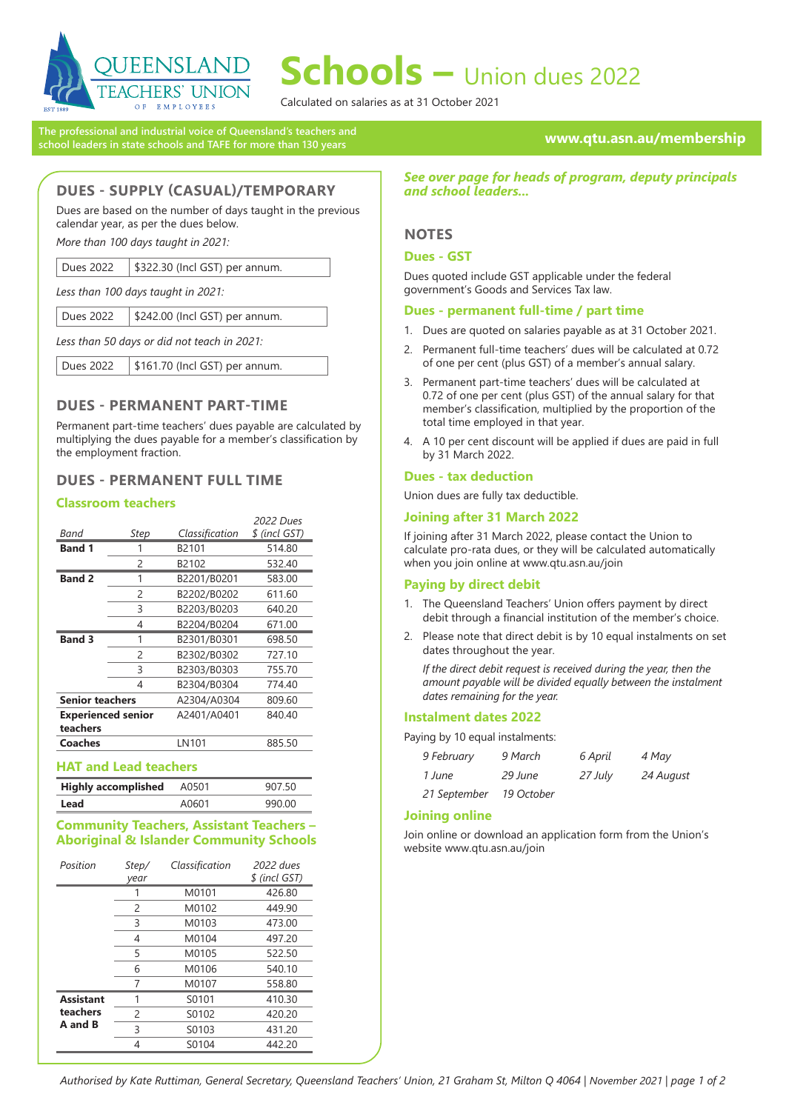

# **Schools –** Union dues 2022

Calculated on salaries as at 31 October 2021

**The professional and industrial voice of Queensland's teachers and school leaders in state schools and TAFE for more than 130 years**

## **www.qtu.asn.au/membership**

## **DUES - SUPPLY (CASUAL)/TEMPORARY**

Dues are based on the number of days taught in the previous calendar year, as per the dues below.

*More than 100 days taught in 2021:*

| Dues 2022 | \$322.30 (Incl GST) per annum. |
|-----------|--------------------------------|
|-----------|--------------------------------|

*Less than 100 days taught in 2021:*

*Less than 50 days or did not teach in 2021:*

Dues 2022 | \$161.70 (Incl GST) per annum.

## **DUES - PERMANENT PART-TIME**

Permanent part-time teachers' dues payable are calculated by multiplying the dues payable for a member's classification by the employment fraction.

## **DUES - PERMANENT FULL TIME**

### **Classroom teachers**

|                           |             |                | 2022 Dues     |
|---------------------------|-------------|----------------|---------------|
| Band                      | <b>Step</b> | Classification | \$ (incl GST) |
| <b>Band 1</b>             | 1           | B2101          | 514.80        |
|                           | 2           | B2102          | 532.40        |
| <b>Band 2</b>             | 1           | B2201/B0201    | 583.00        |
|                           | 2           | B2202/B0202    | 611.60        |
|                           | 3           | B2203/B0203    | 640.20        |
|                           | 4           | B2204/B0204    | 671.00        |
| <b>Band 3</b>             | 1           | B2301/B0301    | 698.50        |
|                           | 2           | B2302/B0302    | 727.10        |
|                           | 3           | B2303/B0303    | 755.70        |
|                           | 4           | B2304/B0304    | 774.40        |
| <b>Senior teachers</b>    |             | A2304/A0304    | 809.60        |
| <b>Experienced senior</b> |             | A2401/A0401    | 840.40        |
| teachers                  |             |                |               |
| Coaches                   |             | LN101          | 885.50        |

#### **HAT and Lead teachers**

| <b>Highly accomplished</b> | A0501 | 907 50 |
|----------------------------|-------|--------|
| Lead                       | A0601 | 990.00 |

## **Community Teachers, Assistant Teachers – Aboriginal & Islander Community Schools**

| Position         | Step/<br>vear | Classification | 2022 dues<br>\$ (incl GST) |
|------------------|---------------|----------------|----------------------------|
|                  |               | M0101          | 426.80                     |
|                  | 2             | M0102          | 449.90                     |
|                  | 3             | M0103          | 473.00                     |
|                  | 4             | M0104          | 497.20                     |
|                  | 5             | M0105          | 522.50                     |
|                  | 6             | M0106          | 540.10                     |
|                  | 7             | M0107          | 558.80                     |
| <b>Assistant</b> | 1             | S0101          | 410.30                     |
| teachers         | $\mathcal{P}$ | S0102          | 420.20                     |
| A and B          | 3             | S0103          | 431.20                     |
|                  | 4             | S0104          | 442.20                     |

*See over page for heads of program, deputy principals and school leaders...*

## **NOTES**

## **Dues - GST**

Dues quoted include GST applicable under the federal government's Goods and Services Tax law.

### **Dues - permanent full-time / part time**

- 1. Dues are quoted on salaries payable as at 31 October 2021.
- 2. Permanent full-time teachers' dues will be calculated at 0.72 of one per cent (plus GST) of a member's annual salary.
- 3. Permanent part-time teachers' dues will be calculated at 0.72 of one per cent (plus GST) of the annual salary for that member's classification, multiplied by the proportion of the total time employed in that year.
- 4. A 10 per cent discount will be applied if dues are paid in full by 31 March 2022.

### **Dues - tax deduction**

Union dues are fully tax deductible.

## **Joining after 31 March 2022**

If joining after 31 March 2022, please contact the Union to calculate pro-rata dues, or they will be calculated automatically when you join online at www.qtu.asn.au/join

## **Paying by direct debit**

- 1. The Queensland Teachers' Union offers payment by direct debit through a financial institution of the member's choice.
- 2. Please note that direct debit is by 10 equal instalments on set dates throughout the year.

*If the direct debit request is received during the year, then the amount payable will be divided equally between the instalment dates remaining for the year.*

## **Instalment dates 2022**

Paying by 10 equal instalments:

| 9 February   | 9 March    | 6 April | 4 May     |
|--------------|------------|---------|-----------|
| 1 June       | 29 June    | 27 July | 24 August |
| 21 September | 19 October |         |           |

## **Joining online**

Join online or download an application form from the Union's website www.qtu.asn.au/join